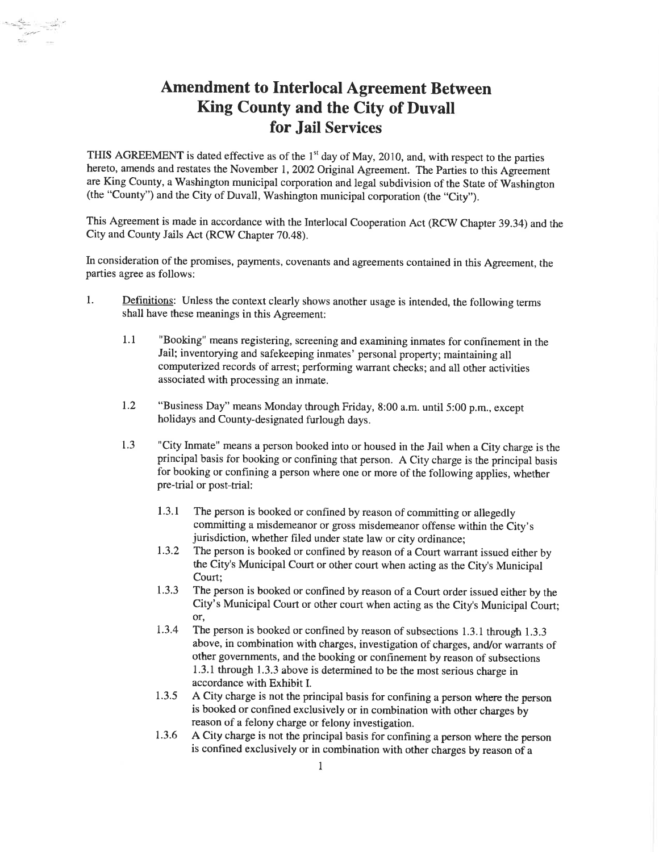## Amendment to Interlocal Agreement Between King County and the City of Duvall for Jail Services

L....-- -¿

THIS AGREEMENT is dated effective as of the  $1<sup>st</sup>$  day of May, 2010, and, with respect to the parties hereto, amends and restates the November 1, 2002 Original Agreement. The Parties to this Agreement are King County, a Washington municipal corporation and legal subdivision of the State of Washington (the "County") and the City of Duvall, Washington municipal corporation (the "City").

This Agreement is made in accordance with the Interlocal Cooperation Act (RCW Chapter 39.34) and the City and County Jails Act (RCW Chapter 70.48).

In consideration of the promises, payments, covenants and agreements contained in this Agreement, the parties agree as follows:

- 1. Definitions: Unless the context clearly shows another usage is intended, the following terms shall have these meanings in this Agreement:
	- 1.1 "Booking" means registering, screening and examining inmates for confinement in the Jail; inventorying and safekeeping inmates' personal property; maintaining all computerized records of arrest; performing warrant checks; and all other activities associated with processing an inmate.
	- 1.2 "Business Day" means Monday through Friday, 8:00 a.m. until 5:00 p.m., except holidays and County-designated furlough days.
	- 1.3 "City Inmate" means a person booked into or housed in the Jail when a City charge is the principal basis for booking or confining that person. A City charge is the principal basis for booking or confining a person where one or more of the following applies, whether pre-trial or post-trial:
		- 1.3.1 The person is booked or confined by reason of committing or allegedly committing a misdemeanor or gross misdemeanor offense within the City's jurisdiction, whether filed under state law or city ordinance;
		- 1.3.2 The person is booked or confined by reason of a Court warrant issued either by the City's Municipal Court or other court when acting as the City's Municipal Court;
		- 1.3.3 The person is booked or confined by reason of a Court order issued either by the City's Municipal Court or other court when acting as the City's Municipal Court; Or'
		- 1.3.4 The person is booked or confined by reason of subsections 1.3.1 through 1.3.3 above, in combination with charges, investigation of charges, and/or warrants of other governments, and the booking or confinement by reason of subsections L3.I through 1.3.3 above is determined to be the most serious charge in accordance with Exhibit I.
		- 1.3.5 A City charge is not the principal basis for confining a person where the person is booked or confined exclusively or in combination with other charges by reason of a felony charge or felony investigation.
		- 1.3.6 A City charge is not the principal basis for confining a person where the person is confined exclusively or in combination with other charges by reason of a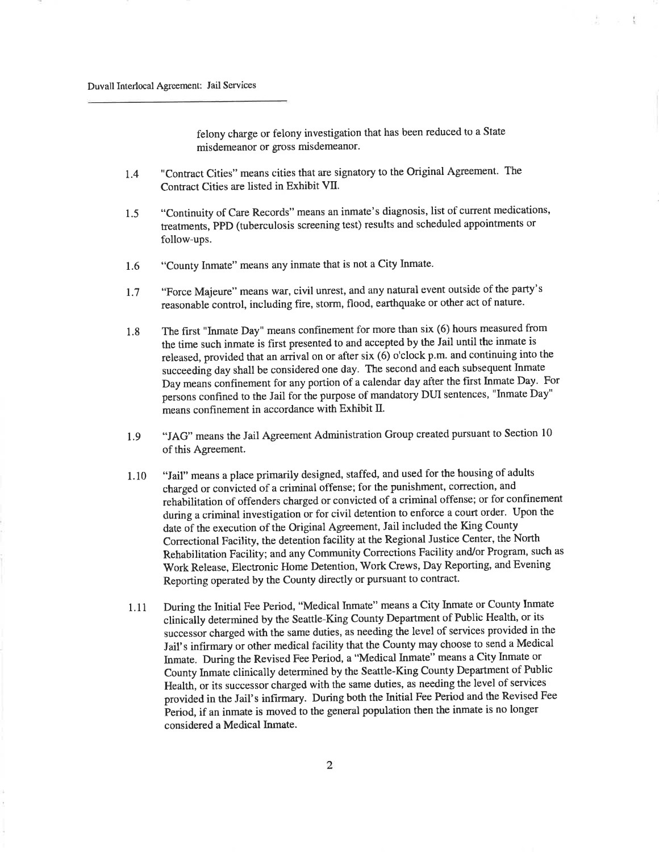felony charge or felony investigation that has been reduced to a State misdemeanor or gross misdemeanor.

 $-1$ 

- I.4 "Contract Cities" means cities that are signatory to the Original Agreement. The Contract Cities are listed in Exhibit VII.
- <sup>1</sup>.5 "Continuity of Care Records" means an inmate's diagnosis, list of current medications, treatments, PPD (tuberculosis screening test) results and scheduled appointments or follow-ups.
- 1.6 "County Inmate" means any inmate that is not a City Inmate.
- 1.7 "Force Majeure" means war, civil unrest, and any natural event outside of the party's reasonable control, including fire, storm, flood, earthquake or other act of nature.
- 1.8 The first "Inmate Day" means confinement for more than six (6) hours measured from the time such inmate is first presented to and accepted by the Jail until the inmate is released, provided that an arrival on or after six (6) o'clock p.m. and continuing into the succeeding day shall be considered one day. The second and each subsequent Inmate Day means confinement for any portion of a calendar day after the first Inmate Day. For persons confined to the Jail for the purpose of mandatory DUI sentences, "Inmate Day" means confinement in accordance with Exhibit  $II$ .
- l.g "JAG" means the Jail Agreement Administration Group created pursuant to Section <sup>10</sup> of this Agreement.
- 1. 10 "Jail" means a place primarily designed, staffed, and used for the housing of adults charged or convicted of a criminal offense; for the punishment, correction, and rehabilitation of offenders charged or convicted of a criminal offense; or for confinement during a criminal investigation or for civil detention to enforce a court order. Upon the date of the execution of the Original Agreement, Jail included the King County Correctional Facility, the detention facility at the Regional Justice Center, the North Rehabilitation Facility; and any Community Corrections Facility and/or Program, such as Work Release, Electronic Home Detention, .Work Ctews, Day Reporting, and Evening Reporting operated by the County directly or pursuant to contract.
- 1.11 During the Initial Fee Period, "Medical Inmate" means a City Inmate or County Inmate clinically determined by the Seattle-King County Department of Public Health, or its successor charged with the same duties, as needing the level of services provided in the Jail's infirmary or other medical facility that the County may choose to send a Medical Inmate. During the Revised Fee Period, a "Medical Inmate" means a City Inmate or County Inmate clinically determined by the Seattle-King County Department of Public Health, or its successor charged with the same duties, as needing the level of services provided in the Jail's infirmary. During both the hitial Fee Period and the Revised Fee Þeriod, if an inmate is moved to the general population then the inmate is no longer considered a Medical Inmate.